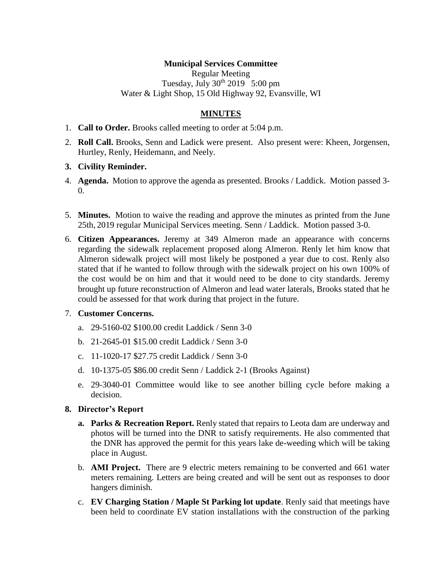# **Municipal Services Committee**

Regular Meeting Tuesday, July  $30^{th}$   $2019$  5:00 pm Water & Light Shop, 15 Old Highway 92, Evansville, WI

# **MINUTES**

- 1. **Call to Order.** Brooks called meeting to order at 5:04 p.m.
- 2. **Roll Call.** Brooks, Senn and Ladick were present. Also present were: Kheen, Jorgensen, Hurtley, Renly, Heidemann, and Neely.

#### **3. Civility Reminder.**

- 4. **Agenda.** Motion to approve the agenda as presented. Brooks / Laddick. Motion passed 3-  $\Omega$ .
- 5. **Minutes.** Motion to waive the reading and approve the minutes as printed from the June 25th, 2019 regular Municipal Services meeting. Senn / Laddick. Motion passed 3-0.
- 6. **Citizen Appearances.** Jeremy at 349 Almeron made an appearance with concerns regarding the sidewalk replacement proposed along Almeron. Renly let him know that Almeron sidewalk project will most likely be postponed a year due to cost. Renly also stated that if he wanted to follow through with the sidewalk project on his own 100% of the cost would be on him and that it would need to be done to city standards. Jeremy brought up future reconstruction of Almeron and lead water laterals, Brooks stated that he could be assessed for that work during that project in the future.

#### 7. **Customer Concerns.**

- a. 29-5160-02 \$100.00 credit Laddick / Senn 3-0
- b. 21-2645-01 \$15.00 credit Laddick / Senn 3-0
- c. 11-1020-17 \$27.75 credit Laddick / Senn 3-0
- d. 10-1375-05 \$86.00 credit Senn / Laddick 2-1 (Brooks Against)
- e. 29-3040-01 Committee would like to see another billing cycle before making a decision.

#### **8. Director's Report**

- **a. Parks & Recreation Report.** Renly stated that repairs to Leota dam are underway and photos will be turned into the DNR to satisfy requirements. He also commented that the DNR has approved the permit for this years lake de-weeding which will be taking place in August.
- b. **AMI Project.** There are 9 electric meters remaining to be converted and 661 water meters remaining. Letters are being created and will be sent out as responses to door hangers diminish.
- c. **EV Charging Station / Maple St Parking lot update**. Renly said that meetings have been held to coordinate EV station installations with the construction of the parking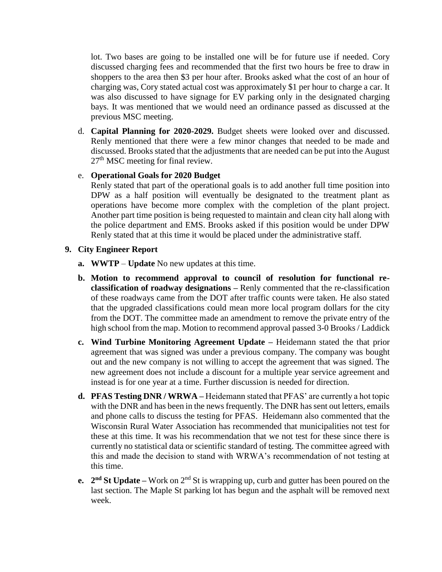lot. Two bases are going to be installed one will be for future use if needed. Cory discussed charging fees and recommended that the first two hours be free to draw in shoppers to the area then \$3 per hour after. Brooks asked what the cost of an hour of charging was, Cory stated actual cost was approximately \$1 per hour to charge a car. It was also discussed to have signage for EV parking only in the designated charging bays. It was mentioned that we would need an ordinance passed as discussed at the previous MSC meeting.

d. **Capital Planning for 2020-2029.** Budget sheets were looked over and discussed. Renly mentioned that there were a few minor changes that needed to be made and discussed. Brooks stated that the adjustments that are needed can be put into the August 27<sup>th</sup> MSC meeting for final review.

# e. **Operational Goals for 2020 Budget**

Renly stated that part of the operational goals is to add another full time position into DPW as a half position will eventually be designated to the treatment plant as operations have become more complex with the completion of the plant project. Another part time position is being requested to maintain and clean city hall along with the police department and EMS. Brooks asked if this position would be under DPW Renly stated that at this time it would be placed under the administrative staff.

## **9. City Engineer Report**

- **a. WWTP Update** No new updates at this time.
- **b. Motion to recommend approval to council of resolution for functional reclassification of roadway designations –** Renly commented that the re-classification of these roadways came from the DOT after traffic counts were taken. He also stated that the upgraded classifications could mean more local program dollars for the city from the DOT. The committee made an amendment to remove the private entry of the high school from the map. Motion to recommend approval passed 3-0 Brooks / Laddick
- **c. Wind Turbine Monitoring Agreement Update –** Heidemann stated the that prior agreement that was signed was under a previous company. The company was bought out and the new company is not willing to accept the agreement that was signed. The new agreement does not include a discount for a multiple year service agreement and instead is for one year at a time. Further discussion is needed for direction.
- **d. PFAS Testing DNR / WRWA –** Heidemann stated that PFAS' are currently a hot topic with the DNR and has been in the news frequently. The DNR has sent out letters, emails and phone calls to discuss the testing for PFAS. Heidemann also commented that the Wisconsin Rural Water Association has recommended that municipalities not test for these at this time. It was his recommendation that we not test for these since there is currently no statistical data or scientific standard of testing. The committee agreed with this and made the decision to stand with WRWA's recommendation of not testing at this time.
- **e.**  $2^{nd}$  **St Update** Work on  $2^{nd}$  St is wrapping up, curb and gutter has been poured on the last section. The Maple St parking lot has begun and the asphalt will be removed next week.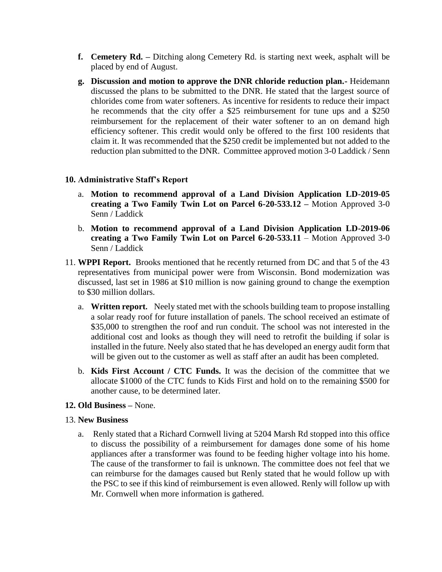- **f. Cemetery Rd. –** Ditching along Cemetery Rd. is starting next week, asphalt will be placed by end of August.
- **g. Discussion and motion to approve the DNR chloride reduction plan.-** Heidemann discussed the plans to be submitted to the DNR. He stated that the largest source of chlorides come from water softeners. As incentive for residents to reduce their impact he recommends that the city offer a \$25 reimbursement for tune ups and a \$250 reimbursement for the replacement of their water softener to an on demand high efficiency softener. This credit would only be offered to the first 100 residents that claim it. It was recommended that the \$250 credit be implemented but not added to the reduction plan submitted to the DNR. Committee approved motion 3-0 Laddick / Senn

## **10. Administrative Staff's Report**

- a. **Motion to recommend approval of a Land Division Application LD-2019-05 creating a Two Family Twin Lot on Parcel 6-20-533.12 –** Motion Approved 3-0 Senn / Laddick
- b. **Motion to recommend approval of a Land Division Application LD-2019-06 creating a Two Family Twin Lot on Parcel 6-20-533.11** – Motion Approved 3-0 Senn / Laddick
- 11. **WPPI Report.** Brooks mentioned that he recently returned from DC and that 5 of the 43 representatives from municipal power were from Wisconsin. Bond modernization was discussed, last set in 1986 at \$10 million is now gaining ground to change the exemption to \$30 million dollars.
	- a. **Written report.** Neely stated met with the schools building team to propose installing a solar ready roof for future installation of panels. The school received an estimate of \$35,000 to strengthen the roof and run conduit. The school was not interested in the additional cost and looks as though they will need to retrofit the building if solar is installed in the future. Neely also stated that he has developed an energy audit form that will be given out to the customer as well as staff after an audit has been completed.
	- b. **Kids First Account / CTC Funds.** It was the decision of the committee that we allocate \$1000 of the CTC funds to Kids First and hold on to the remaining \$500 for another cause, to be determined later.

## **12. Old Business –** None.

## 13. **New Business**

a. Renly stated that a Richard Cornwell living at 5204 Marsh Rd stopped into this office to discuss the possibility of a reimbursement for damages done some of his home appliances after a transformer was found to be feeding higher voltage into his home. The cause of the transformer to fail is unknown. The committee does not feel that we can reimburse for the damages caused but Renly stated that he would follow up with the PSC to see if this kind of reimbursement is even allowed. Renly will follow up with Mr. Cornwell when more information is gathered.